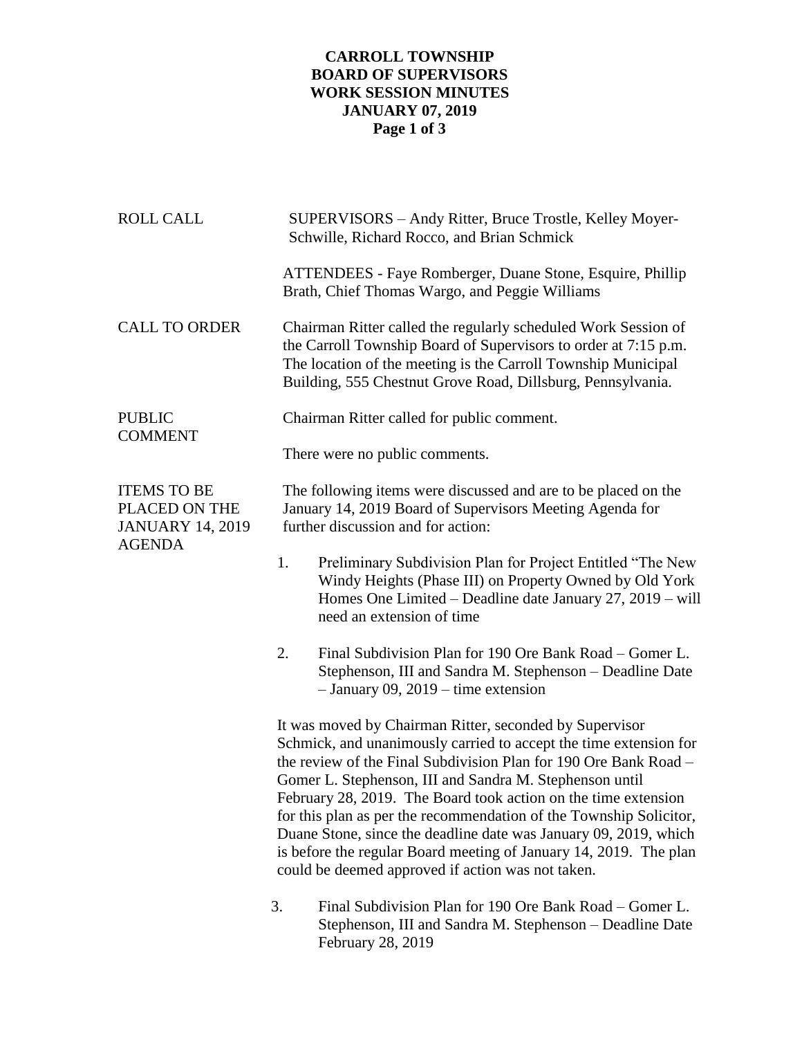## **CARROLL TOWNSHIP BOARD OF SUPERVISORS WORK SESSION MINUTES JANUARY 07, 2019 Page 1 of 3**

| <b>ROLL CALL</b>                                                                | SUPERVISORS - Andy Ritter, Bruce Trostle, Kelley Moyer-<br>Schwille, Richard Rocco, and Brian Schmick                                                                                                                                                                                                                                                                                                                                                                                                                                                                                             |  |  |
|---------------------------------------------------------------------------------|---------------------------------------------------------------------------------------------------------------------------------------------------------------------------------------------------------------------------------------------------------------------------------------------------------------------------------------------------------------------------------------------------------------------------------------------------------------------------------------------------------------------------------------------------------------------------------------------------|--|--|
|                                                                                 | ATTENDEES - Faye Romberger, Duane Stone, Esquire, Phillip<br>Brath, Chief Thomas Wargo, and Peggie Williams                                                                                                                                                                                                                                                                                                                                                                                                                                                                                       |  |  |
| <b>CALL TO ORDER</b>                                                            | Chairman Ritter called the regularly scheduled Work Session of<br>the Carroll Township Board of Supervisors to order at 7:15 p.m.<br>The location of the meeting is the Carroll Township Municipal<br>Building, 555 Chestnut Grove Road, Dillsburg, Pennsylvania.                                                                                                                                                                                                                                                                                                                                 |  |  |
| <b>PUBLIC</b><br><b>COMMENT</b>                                                 | Chairman Ritter called for public comment.                                                                                                                                                                                                                                                                                                                                                                                                                                                                                                                                                        |  |  |
|                                                                                 | There were no public comments.                                                                                                                                                                                                                                                                                                                                                                                                                                                                                                                                                                    |  |  |
| <b>ITEMS TO BE</b><br>PLACED ON THE<br><b>JANUARY 14, 2019</b><br><b>AGENDA</b> | The following items were discussed and are to be placed on the<br>January 14, 2019 Board of Supervisors Meeting Agenda for<br>further discussion and for action:                                                                                                                                                                                                                                                                                                                                                                                                                                  |  |  |
|                                                                                 | Preliminary Subdivision Plan for Project Entitled "The New<br>1.<br>Windy Heights (Phase III) on Property Owned by Old York<br>Homes One Limited – Deadline date January 27, 2019 – will<br>need an extension of time                                                                                                                                                                                                                                                                                                                                                                             |  |  |
|                                                                                 | Final Subdivision Plan for 190 Ore Bank Road – Gomer L.<br>2.<br>Stephenson, III and Sandra M. Stephenson - Deadline Date<br>$-$ January 09, 2019 – time extension                                                                                                                                                                                                                                                                                                                                                                                                                                |  |  |
|                                                                                 | It was moved by Chairman Ritter, seconded by Supervisor<br>Schmick, and unanimously carried to accept the time extension for<br>the review of the Final Subdivision Plan for 190 Ore Bank Road –<br>Gomer L. Stephenson, III and Sandra M. Stephenson until<br>February 28, 2019. The Board took action on the time extension<br>for this plan as per the recommendation of the Township Solicitor,<br>Duane Stone, since the deadline date was January 09, 2019, which<br>is before the regular Board meeting of January 14, 2019. The plan<br>could be deemed approved if action was not taken. |  |  |
|                                                                                 | Final Subdivision Plan for 190 Ore Bank Road – Gomer L.<br>3.<br>Stephenson, III and Sandra M. Stephenson - Deadline Date<br>February 28, 2019                                                                                                                                                                                                                                                                                                                                                                                                                                                    |  |  |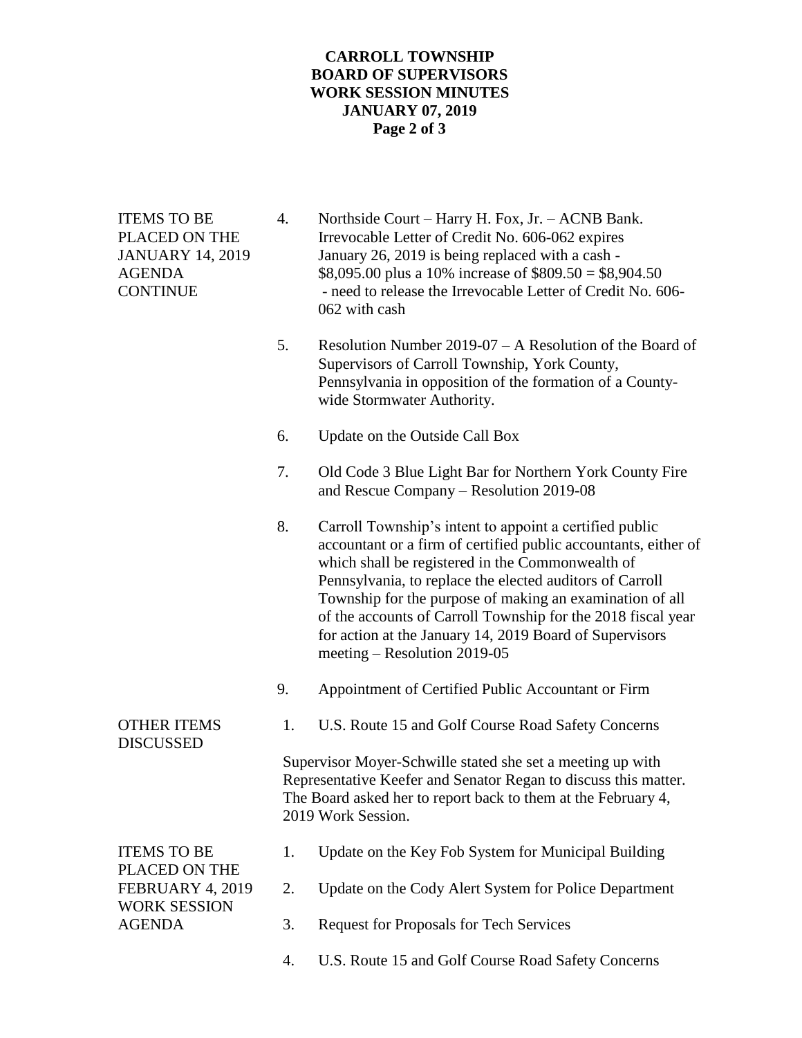## **CARROLL TOWNSHIP BOARD OF SUPERVISORS WORK SESSION MINUTES JANUARY 07, 2019 Page 2 of 3**

| <b>ITEMS TO BE</b><br>PLACED ON THE<br><b>JANUARY 14, 2019</b><br><b>AGENDA</b><br><b>CONTINUE</b> | 4.                                                                                                                                                                                                                   | Northside Court - Harry H. Fox, Jr. - ACNB Bank.<br>Irrevocable Letter of Credit No. 606-062 expires<br>January 26, 2019 is being replaced with a cash -<br>\$8,095.00 plus a 10% increase of \$809.50 = \$8,904.50<br>- need to release the Irrevocable Letter of Credit No. 606-<br>062 with cash                                                                                                                                                               |
|----------------------------------------------------------------------------------------------------|----------------------------------------------------------------------------------------------------------------------------------------------------------------------------------------------------------------------|-------------------------------------------------------------------------------------------------------------------------------------------------------------------------------------------------------------------------------------------------------------------------------------------------------------------------------------------------------------------------------------------------------------------------------------------------------------------|
|                                                                                                    | 5.                                                                                                                                                                                                                   | Resolution Number $2019-07 - A$ Resolution of the Board of<br>Supervisors of Carroll Township, York County,<br>Pennsylvania in opposition of the formation of a County-<br>wide Stormwater Authority.                                                                                                                                                                                                                                                             |
|                                                                                                    | 6.                                                                                                                                                                                                                   | Update on the Outside Call Box                                                                                                                                                                                                                                                                                                                                                                                                                                    |
|                                                                                                    | 7.                                                                                                                                                                                                                   | Old Code 3 Blue Light Bar for Northern York County Fire<br>and Rescue Company - Resolution 2019-08                                                                                                                                                                                                                                                                                                                                                                |
|                                                                                                    | 8.                                                                                                                                                                                                                   | Carroll Township's intent to appoint a certified public<br>accountant or a firm of certified public accountants, either of<br>which shall be registered in the Commonwealth of<br>Pennsylvania, to replace the elected auditors of Carroll<br>Township for the purpose of making an examination of all<br>of the accounts of Carroll Township for the 2018 fiscal year<br>for action at the January 14, 2019 Board of Supervisors<br>meeting – Resolution 2019-05 |
|                                                                                                    | 9.                                                                                                                                                                                                                   | Appointment of Certified Public Accountant or Firm                                                                                                                                                                                                                                                                                                                                                                                                                |
| <b>OTHER ITEMS</b><br><b>DISCUSSED</b>                                                             | 1.                                                                                                                                                                                                                   | U.S. Route 15 and Golf Course Road Safety Concerns                                                                                                                                                                                                                                                                                                                                                                                                                |
|                                                                                                    | Supervisor Moyer-Schwille stated she set a meeting up with<br>Representative Keefer and Senator Regan to discuss this matter.<br>The Board asked her to report back to them at the February 4,<br>2019 Work Session. |                                                                                                                                                                                                                                                                                                                                                                                                                                                                   |
| <b>ITEMS TO BE</b><br>PLACED ON THE<br>FEBRUARY 4, 2019<br><b>WORK SESSION</b><br><b>AGENDA</b>    | 1.                                                                                                                                                                                                                   | Update on the Key Fob System for Municipal Building                                                                                                                                                                                                                                                                                                                                                                                                               |
|                                                                                                    | 2.                                                                                                                                                                                                                   | Update on the Cody Alert System for Police Department                                                                                                                                                                                                                                                                                                                                                                                                             |
|                                                                                                    | 3.                                                                                                                                                                                                                   | <b>Request for Proposals for Tech Services</b>                                                                                                                                                                                                                                                                                                                                                                                                                    |
|                                                                                                    | 4.                                                                                                                                                                                                                   | U.S. Route 15 and Golf Course Road Safety Concerns                                                                                                                                                                                                                                                                                                                                                                                                                |